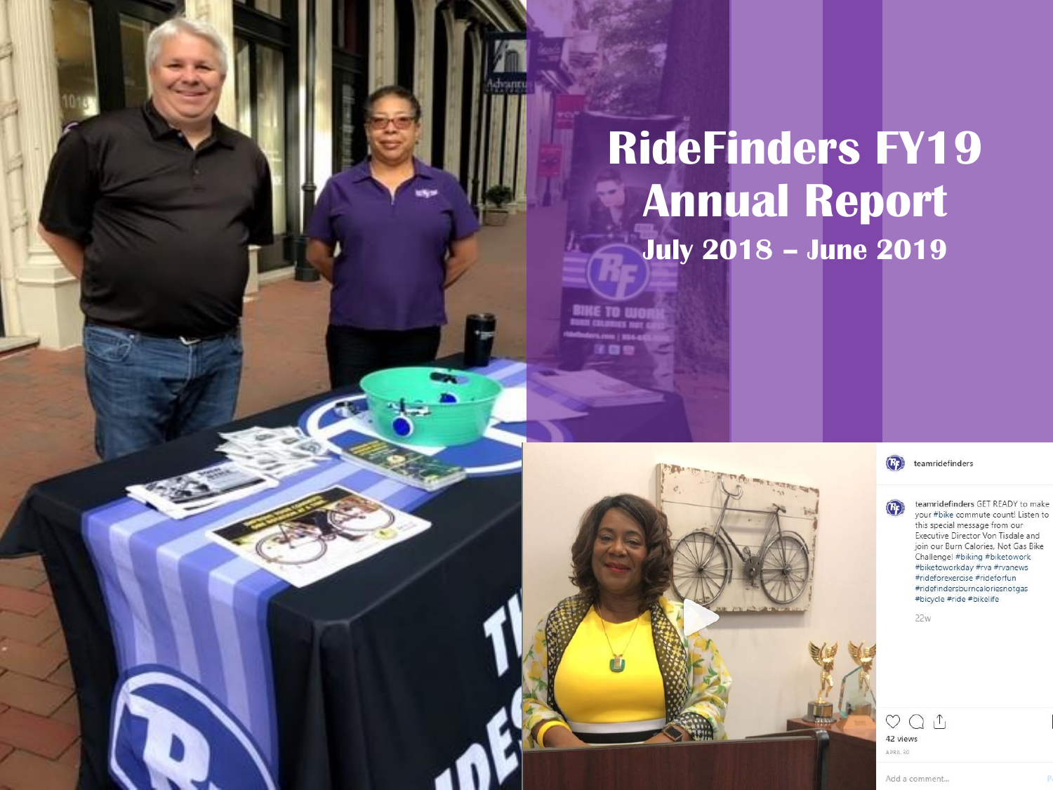# **July 2018 – June 2019 RideFinders FY19 Annual Report**

 $(\mathbb{R})$ teamridefinders

teamridefinders GET READY to make  $(F<sub>F</sub>)$ your #bike commute count! Listen to this special message from our Executive Director Von Tisdale and join our Burn Calories, Not Gas Bike Challenge! #biking #biketowork #biketoworkday #rva #rvanews #rideforexercise #rideforfun #ridefindersburncaloriesnotgas #bicycle #ride #bikelife

 $22W$ 

 $QQ_1$ 42 views APRIL 30

Add a comment...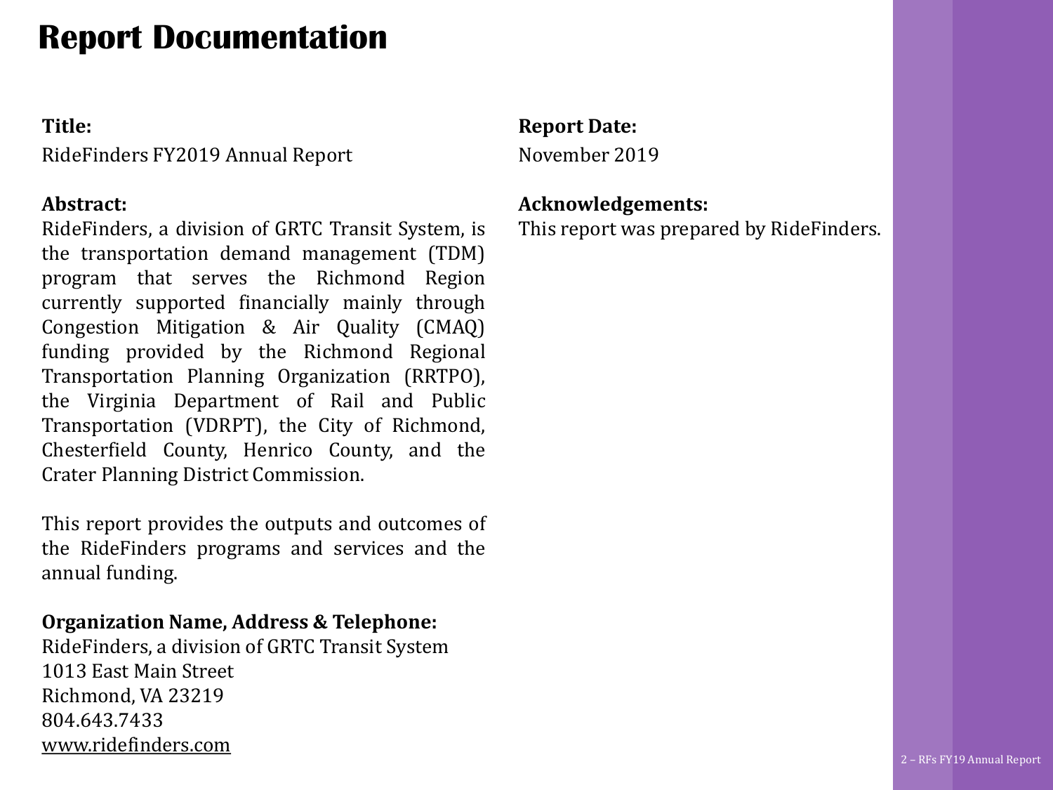## **Report Documentation**

### **Title:**

RideFinders FY2019 Annual Report

### **Abstract:**

RideFinders, a division of GRTC Transit System, is the transportation demand management (TDM) program that serves the Richmond Region currently supported financially mainly through Congestion Mitigation & Air Quality (CMAQ) funding provided by the Richmond Regional Transportation Planning Organization (RRTPO), the Virginia Department of Rail and Public Transportation (VDRPT), the City of Richmond, Chesterfield County, Henrico County, and the Crater Planning District Commission.

This report provides the outputs and outcomes of the RideFinders programs and services and the annual funding.

### **Organization Name, Address & Telephone:**

RideFinders, a division of GRTC Transit System 1013 East Main Street Richmond, VA 23219 804.643.7433 [www.ridefinders.com](http://www.ridefinders.com/)

### **Report Date:**

November 2019

### **Acknowledgements:**

This report was prepared by RideFinders.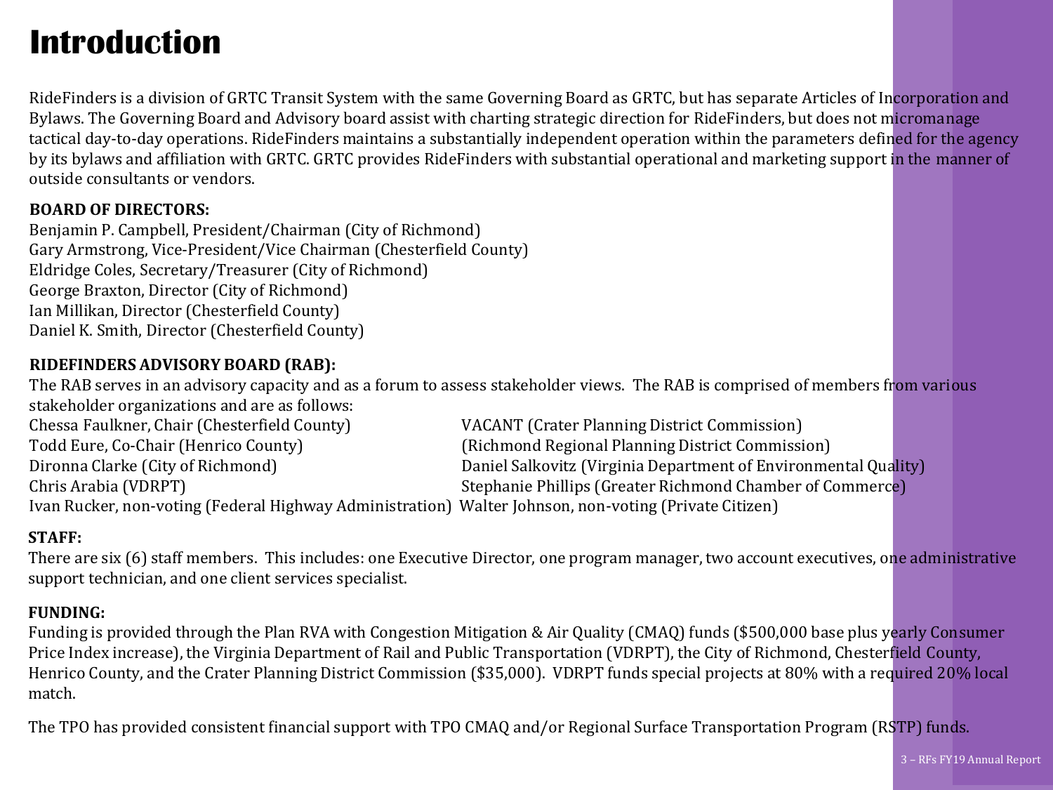## **Introduction**

RideFinders is a division of GRTC Transit System with the same Governing Board as GRTC, but has separate Articles of Incorporation and Bylaws. The Governing Board and Advisory board assist with charting strategic direction for RideFinders, but does not micromanage tactical day-to-day operations. RideFinders maintains a substantially independent operation within the parameters defined for the agency by its bylaws and affiliation with GRTC. GRTC provides RideFinders with substantial operational and marketing support in the manner of outside consultants or vendors.

#### **BOARD OF DIRECTORS:**

Benjamin P. Campbell, President/Chairman (City of Richmond) Gary Armstrong, Vice-President/Vice Chairman (Chesterfield County) Eldridge Coles, Secretary/Treasurer (City of Richmond) George Braxton, Director (City of Richmond) Ian Millikan, Director (Chesterfield County) Daniel K. Smith, Director (Chesterfield County)

#### **RIDEFINDERS ADVISORY BOARD (RAB):**

The RAB serves in an advisory capacity and as a forum to assess stakeholder views. The RAB is comprised of members from various stakeholder organizations and are as follows:

| Chessa Faulkner, Chair (Chesterfield County)                                                          | VACANT (Crater Planning District Commission)                    |  |
|-------------------------------------------------------------------------------------------------------|-----------------------------------------------------------------|--|
| Todd Eure, Co-Chair (Henrico County)                                                                  | (Richmond Regional Planning District Commission)                |  |
| Dironna Clarke (City of Richmond)                                                                     | Daniel Salkovitz (Virginia Department of Environmental Quality) |  |
| Chris Arabia (VDRPT)                                                                                  | Stephanie Phillips (Greater Richmond Chamber of Commerce)       |  |
| Ivan Rucker, non-voting (Federal Highway Administration) Walter Johnson, non-voting (Private Citizen) |                                                                 |  |

#### **STAFF:**

There are six (6) staff members. This includes: one Executive Director, one program manager, two account executives, one administrative support technician, and one client services specialist.

#### **FUNDING:**

Funding is provided through the Plan RVA with Congestion Mitigation & Air Quality (CMAQ) funds (\$500,000 base plus yearly Consumer Price Index increase), the Virginia Department of Rail and Public Transportation (VDRPT), the City of Richmond, Chesterfield County, Henrico County, and the Crater Planning District Commission (\$35,000). VDRPT funds special projects at 80% with a required 20% local match.

The TPO has provided consistent financial support with TPO CMAQ and/or Regional Surface Transportation Program (RSTP) funds.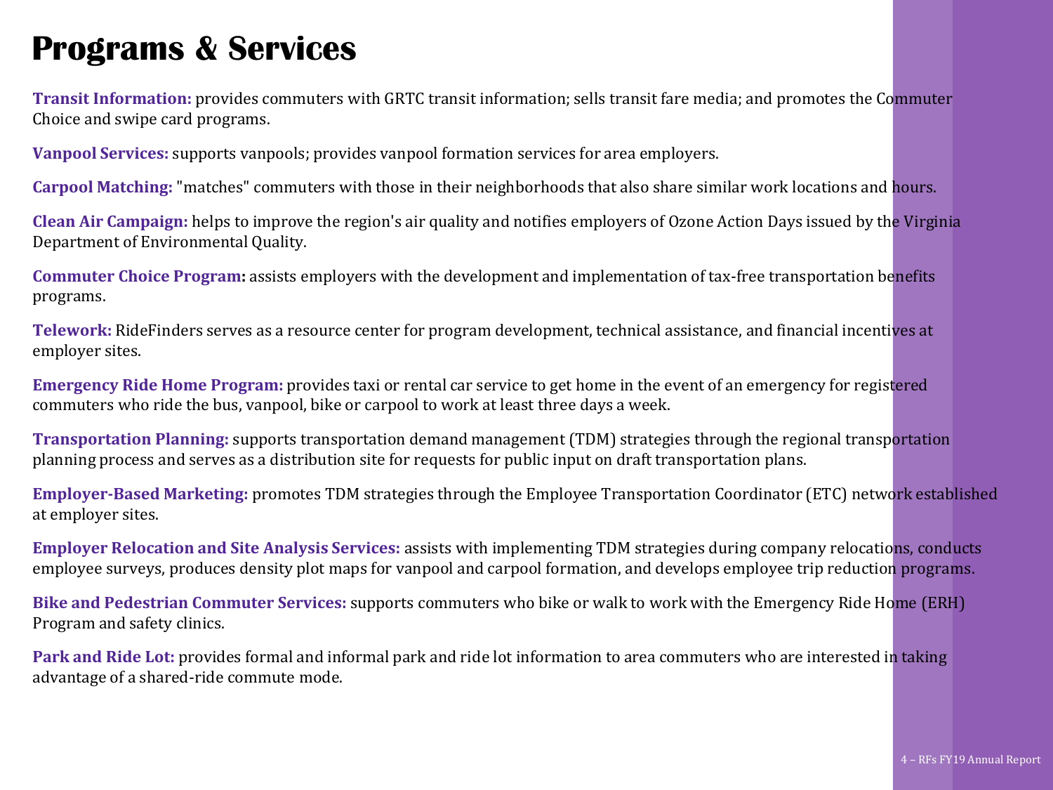### **Programs & Services**

**Transit Information:** provides commuters with GRTC transit information; sells transit fare media; and promotes the Commuter Choice and swipe card programs.

**Vanpool Services:** supports vanpools; provides vanpool formation services for area employers.

**Carpool Matching:** "matches" commuters with those in their neighborhoods that also share similar work locations and hours.

**Clean Air Campaign:** helps to improve the region's air quality and notifies employers of Ozone Action Days issued by the Virginia Department of Environmental Quality.

**Commuter Choice Program:** assists employers with the development and implementation of tax-free transportation benefits programs.

**Telework:** RideFinders serves as a resource center for program development, technical assistance, and financial incentives at employer sites.

**Emergency Ride Home Program:** provides taxi or rental car service to get home in the event of an emergency for registered commuters who ride the bus, vanpool, bike or carpool to work at least three days a week.

**Transportation Planning:** supports transportation demand management (TDM) strategies through the regional transportation planning process and serves as a distribution site for requests for public input on draft transportation plans.

**Employer-Based Marketing:** promotes TDM strategies through the Employee Transportation Coordinator (ETC) network established at employer sites.

**Employer Relocation and Site Analysis Services:** assists with implementing TDM strategies during company relocations, conducts employee surveys, produces density plot maps for vanpool and carpool formation, and develops employee trip reduction programs.

**Bike and Pedestrian Commuter Services:** supports commuters who bike or walk to work with the Emergency Ride Home (ERH) Program and safety clinics.

**Park and Ride Lot:** provides formal and informal park and ride lot information to area commuters who are interested in taking advantage of a shared-ride commute mode.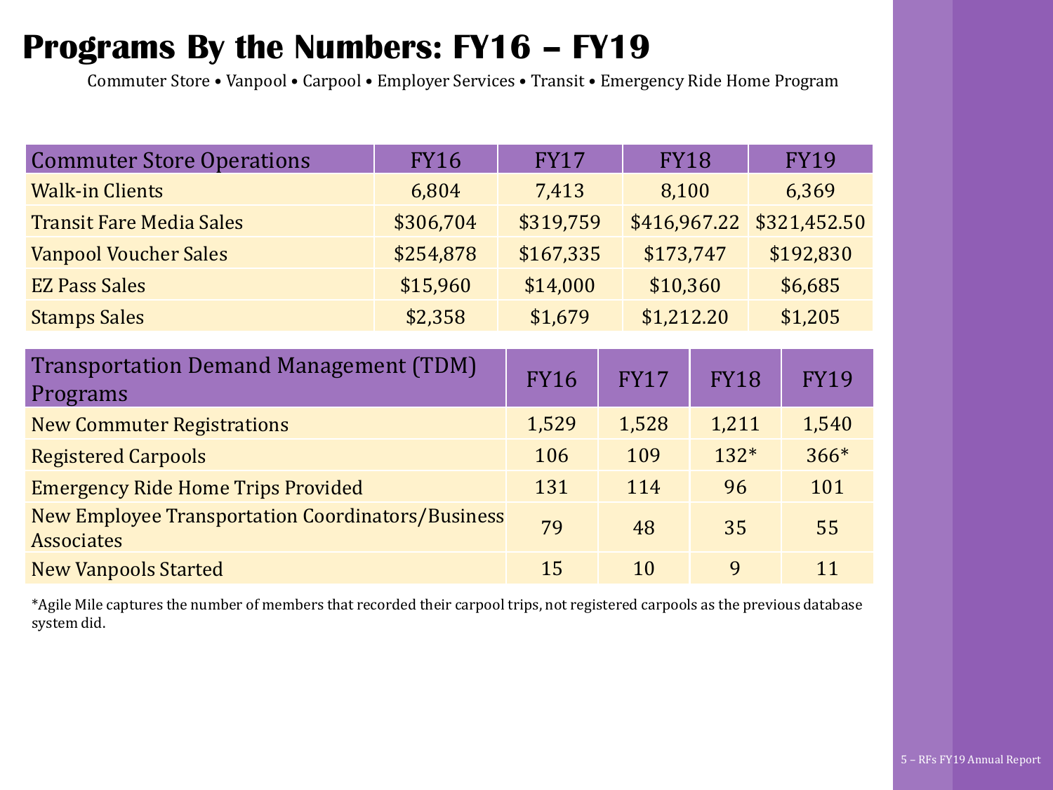### **Programs By the Numbers: FY16 – FY19**

Commuter Store • Vanpool • Carpool • Employer Services • Transit • Emergency Ride Home Program

| <b>Commuter Store Operations</b>                                              | <b>FY16</b> | <b>FY17</b> | <b>FY18</b>  |            |             | <b>FY19</b>  |
|-------------------------------------------------------------------------------|-------------|-------------|--------------|------------|-------------|--------------|
| <b>Walk-in Clients</b>                                                        | 6,804       | 7,413       | 8,100        |            |             | 6,369        |
| <b>Transit Fare Media Sales</b>                                               | \$306,704   | \$319,759   | \$416,967.22 |            |             | \$321,452.50 |
| <b>Vanpool Voucher Sales</b>                                                  | \$254,878   | \$167,335   |              | \$173,747  |             | \$192,830    |
| <b>EZ Pass Sales</b>                                                          | \$15,960    | \$14,000    | \$10,360     |            |             | \$6,685      |
| <b>Stamps Sales</b>                                                           | \$2,358     | \$1,679     |              | \$1,212.20 |             | \$1,205      |
|                                                                               |             |             |              |            |             |              |
| <b>Transportation Demand Management (TDM)</b><br>Programs                     | <b>FY16</b> | <b>FY17</b> | <b>FY18</b>  |            | <b>FY19</b> |              |
| <b>New Commuter Registrations</b>                                             | 1,529       | 1,528       | 1,211        |            | 1,540       |              |
| <b>Registered Carpools</b>                                                    | 106         | 109         | $132*$       |            | $366*$      |              |
| <b>Emergency Ride Home Trips Provided</b>                                     | 131         | 114         | 96           |            | 101         |              |
| <b>New Employee Transportation Coordinators/Business</b><br><b>Associates</b> | 79          | 48          | 35           |            | 55          |              |
| <b>New Vanpools Started</b>                                                   |             | 15          | 10           | 9          |             | 11           |

\*Agile Mile captures the number of members that recorded their carpool trips, not registered carpools as the previous database system did.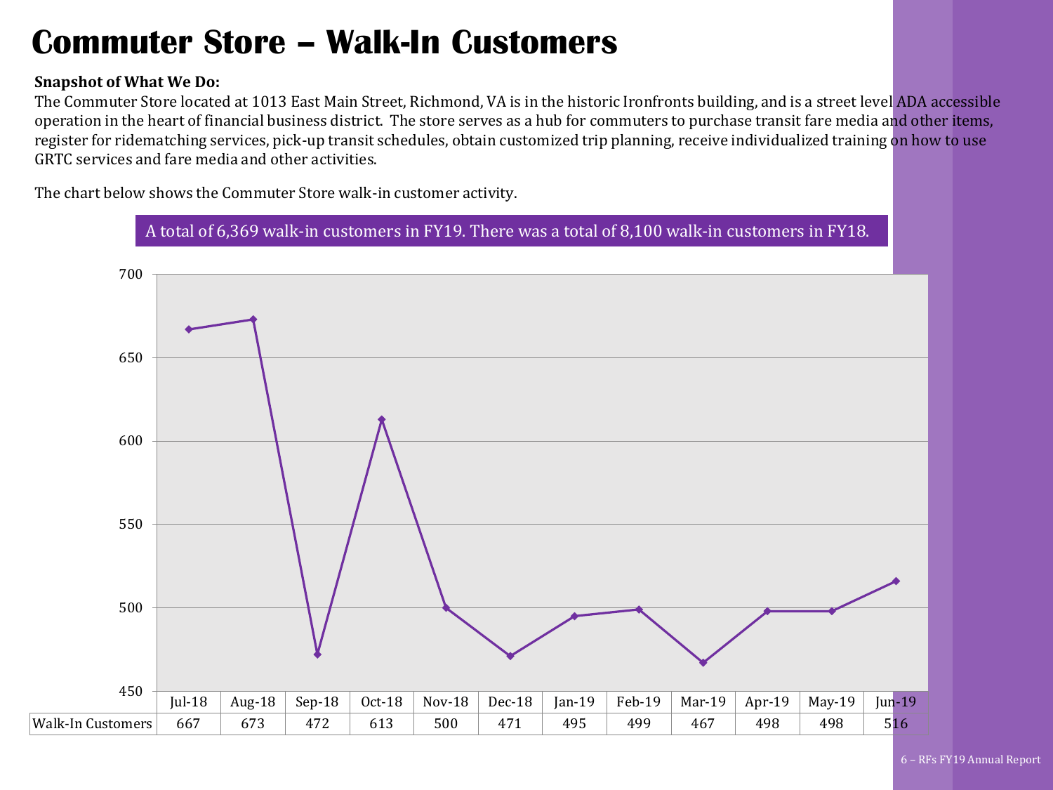### **Commuter Store – Walk-In Customers**

#### **Snapshot of What We Do:**

The Commuter Store located at 1013 East Main Street, Richmond, VA is in the historic Ironfronts building, and is a street level ADA accessible operation in the heart of financial business district. The store serves as a hub for commuters to purchase transit fare media and other items, register for ridematching services, pick-up transit schedules, obtain customized trip planning, receive individualized training on how to use GRTC services and fare media and other activities.

The chart below shows the Commuter Store walk-in customer activity.

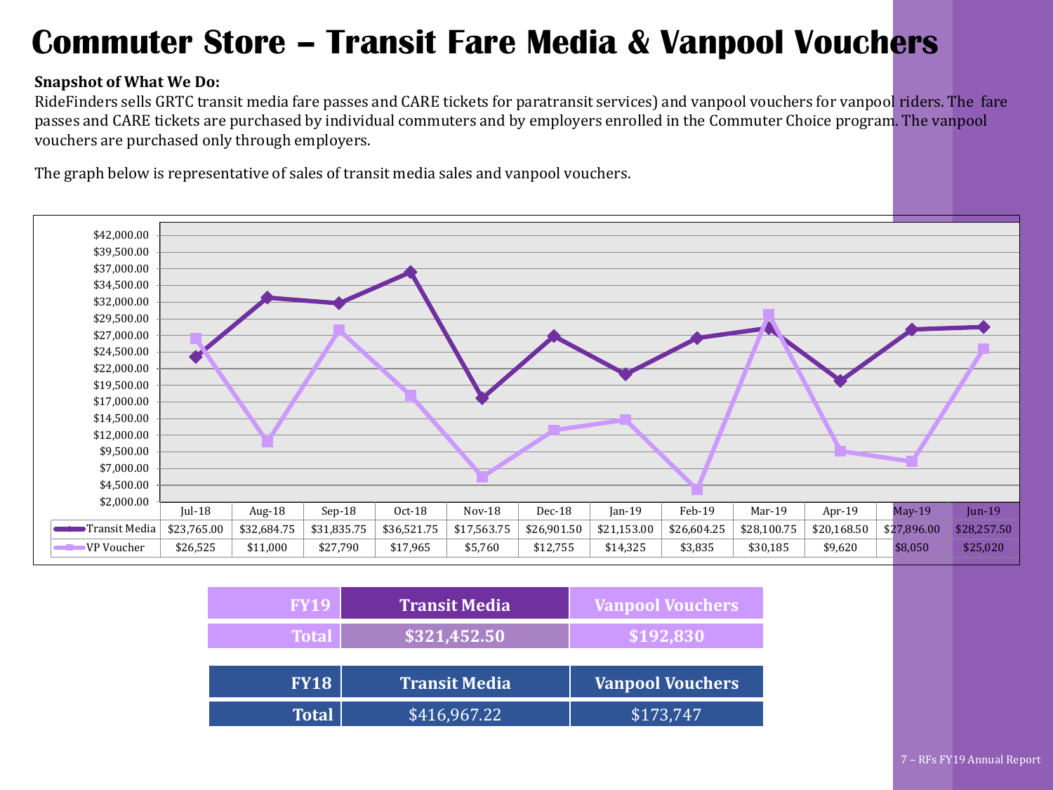### **Commuter Store – Transit Fare Media & Vanpool Vouchers**

#### **Snapshot of What We Do:**

RideFinders sells GRTC transit media fare passes and CARE tickets for paratransit services) and vanpool vouchers for vanpool riders. The fare passes and CARE tickets are purchased by individual commuters and by employers enrolled in the Commuter Choice program. The vanpool vouchers are purchased only through employers.

The graph below is representative of sales of transit media sales and vanpool vouchers.



| <b>FY19</b>  | <b>Transit Media</b> | <b>Vanpool Vouchers</b> |
|--------------|----------------------|-------------------------|
| <b>Total</b> | \$321,452.50         | \$192,830               |
|              |                      |                         |
| <b>FY18</b>  | <b>Transit Media</b> | <b>Vanpool Vouchers</b> |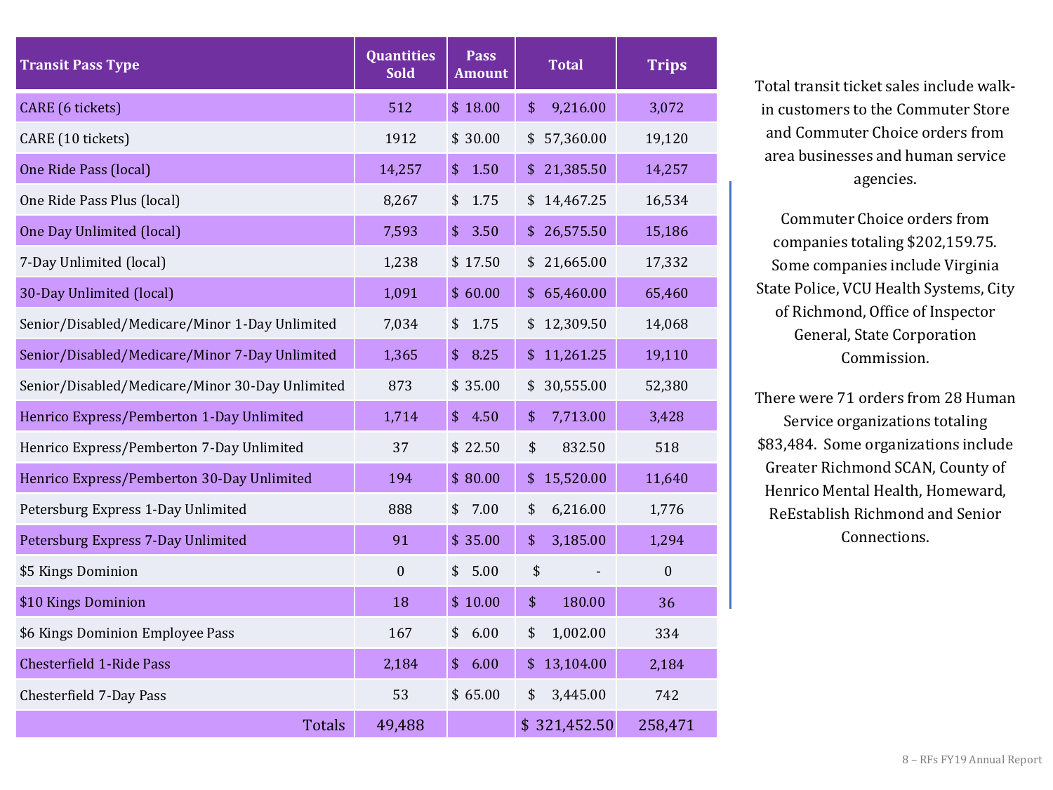| <b>Transit Pass Type</b>                        | <b>Quantities</b><br><b>Sold</b> | <b>Pass</b><br><b>Amount</b> | <b>Total</b>    | <b>Trips</b> |
|-------------------------------------------------|----------------------------------|------------------------------|-----------------|--------------|
| CARE (6 tickets)                                | 512                              | \$18.00                      | 9,216.00<br>\$  | 3,072        |
| CARE (10 tickets)                               | 1912                             | \$30.00                      | 57,360.00<br>\$ | 19,120       |
| One Ride Pass (local)                           | 14,257                           | \$<br>1.50                   | 21,385.50<br>\$ | 14,257       |
| One Ride Pass Plus (local)                      | 8,267                            | 1.75<br>\$                   | 14,467.25<br>\$ | 16,534       |
| One Day Unlimited (local)                       | 7,593                            | \$<br>3.50                   | 26,575.50<br>\$ | 15,186       |
| 7-Day Unlimited (local)                         | 1,238                            | \$17.50                      | 21,665.00<br>\$ | 17,332       |
| 30-Day Unlimited (local)                        | 1,091                            | \$60.00                      | 65,460.00<br>\$ | 65,460       |
| Senior/Disabled/Medicare/Minor 1-Day Unlimited  | 7,034                            | 1.75<br>\$                   | 12,309.50<br>\$ | 14,068       |
| Senior/Disabled/Medicare/Minor 7-Day Unlimited  | 1,365                            | \$<br>8.25                   | 11,261.25<br>\$ | 19,110       |
| Senior/Disabled/Medicare/Minor 30-Day Unlimited | 873                              | \$35.00                      | 30,555.00<br>\$ | 52,380       |
| Henrico Express/Pemberton 1-Day Unlimited       | 1,714                            | \$<br>4.50                   | \$<br>7,713.00  | 3,428        |
| Henrico Express/Pemberton 7-Day Unlimited       | 37                               | \$22.50                      | \$<br>832.50    | 518          |
| Henrico Express/Pemberton 30-Day Unlimited      | 194                              | \$80.00                      | 15,520.00<br>\$ | 11,640       |
| Petersburg Express 1-Day Unlimited              | 888                              | 7.00<br>\$                   | 6,216.00<br>\$  | 1,776        |
| Petersburg Express 7-Day Unlimited              | 91                               | \$35.00                      | 3,185.00<br>\$  | 1,294        |
| \$5 Kings Dominion                              | $\boldsymbol{0}$                 | 5.00<br>\$                   | \$              | $\mathbf{0}$ |
| \$10 Kings Dominion                             | 18                               | \$10.00                      | \$<br>180.00    | 36           |
| \$6 Kings Dominion Employee Pass                | 167                              | \$<br>6.00                   | 1,002.00<br>\$  | 334          |
| <b>Chesterfield 1-Ride Pass</b>                 | 2,184                            | \$<br>6.00                   | 13,104.00<br>\$ | 2,184        |
| Chesterfield 7-Day Pass                         | 53                               | \$65.00                      | \$<br>3,445.00  | 742          |
| <b>Totals</b>                                   | 49,488                           |                              | \$321,452.50    | 258,471      |

Total transit ticket sales include walkin customers to the Commuter Store and Commuter Choice orders from area businesses and human service agencies.

Commuter Choice orders from companies totaling \$202,159.75. Some companies include Virginia State Police, VCU Health Systems, City of Richmond, Office of Inspector General, State Corporation Commission.

There were 71 orders from 28 Human Service organizations totaling \$83,484. Some organizations include Greater Richmond SCAN, County of Henrico Mental Health, Homeward, ReEstablish Richmond and Senior Connections.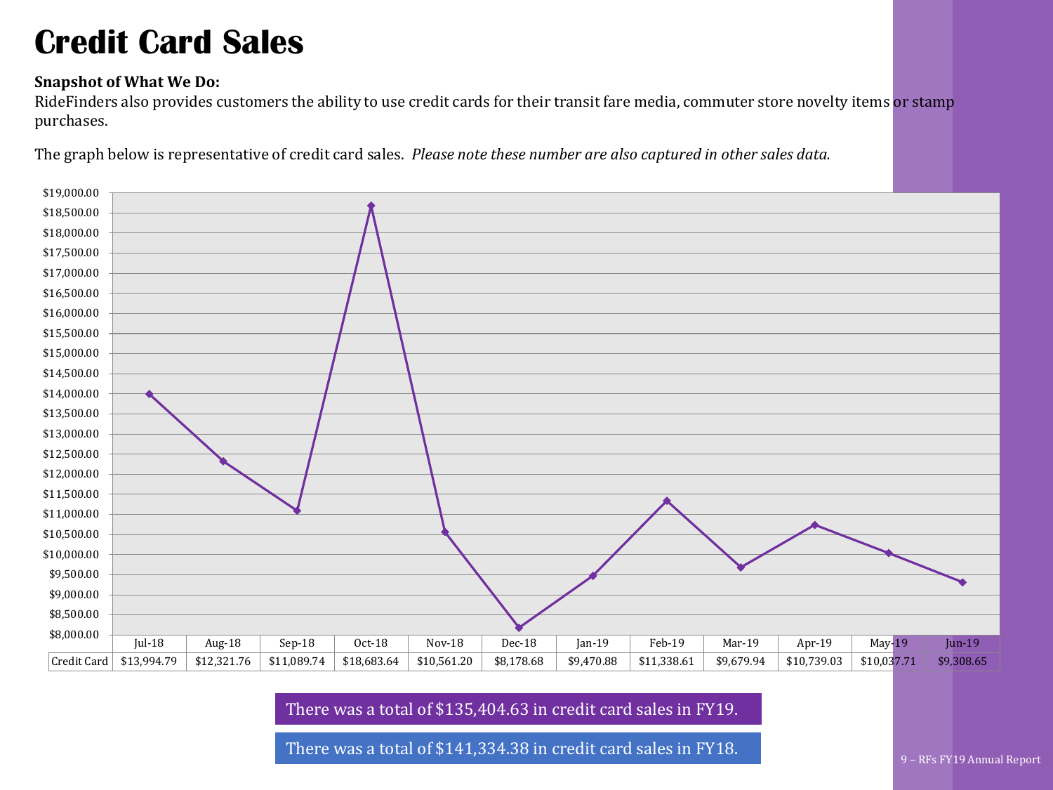### **Credit Card Sales**

#### **Snapshot of What We Do:**

RideFinders also provides customers the ability to use credit cards for their transit fare media, commuter store novelty items or stamp purchases.

The graph below is representative of credit card sales. *Please note these number are also captured in other sales data.*



There was a total of \$135,404.63 in credit card sales in FY19.

There was a total of \$141,334.38 in credit card sales in FY18.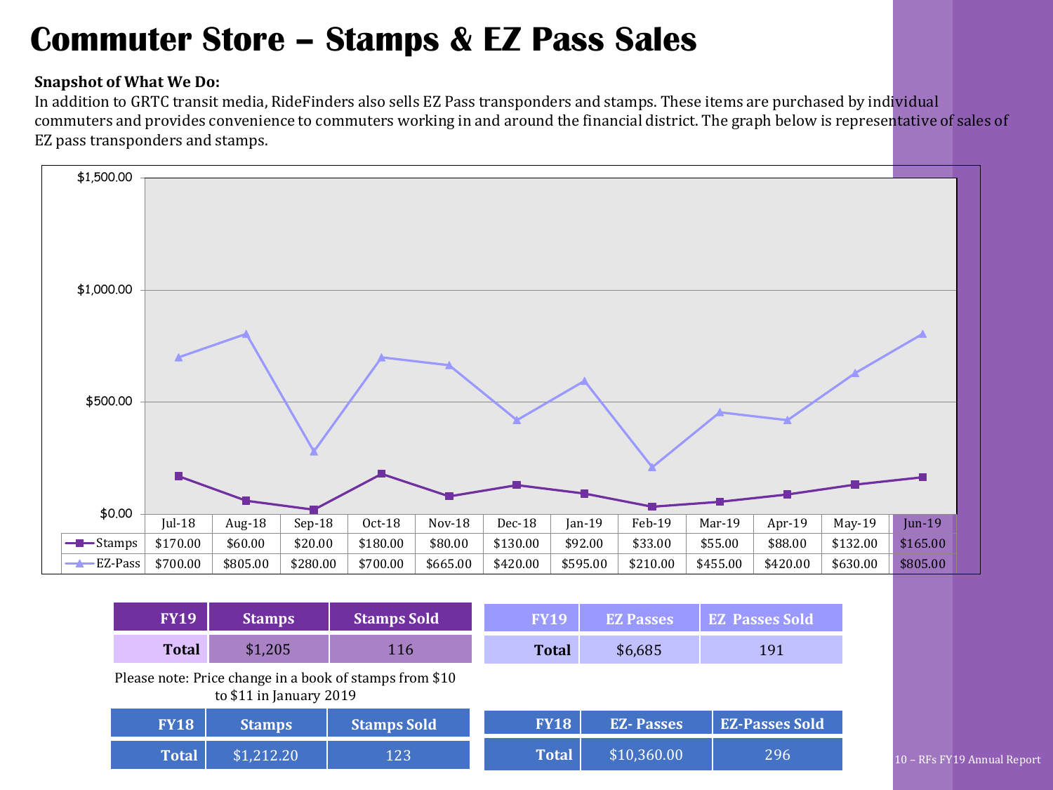### **Commuter Store – Stamps & EZ Pass Sales**

#### **Snapshot of What We Do:**

In addition to GRTC transit media, RideFinders also sells EZ Pass transponders and stamps. These items are purchased by individual commuters and provides convenience to commuters working in and around the financial district. The graph below is representative of sales of EZ pass transponders and stamps.



| <b>FY19</b>  | <b>Stamps</b>           | <b>Stamps Sold</b>                                      | <b>FY19</b>  | <b>EZ Passes</b> | <b>EZ Passes Sold</b> |
|--------------|-------------------------|---------------------------------------------------------|--------------|------------------|-----------------------|
| <b>Total</b> | \$1,205                 | 116                                                     | <b>Total</b> | \$6,685          | 191                   |
|              | to \$11 in January 2019 | Please note: Price change in a book of stamps from \$10 |              |                  |                       |
| <b>FY18</b>  | <b>Stamps</b>           | <b>Stamps Sold</b>                                      | <b>FY18</b>  | <b>EZ-Passes</b> | <b>EZ-Passes Sold</b> |
| <b>Total</b> | \$1,212.20              | 123                                                     | <b>Total</b> | \$10,360.00      | 296                   |

10 – RFs FY19 Annual Report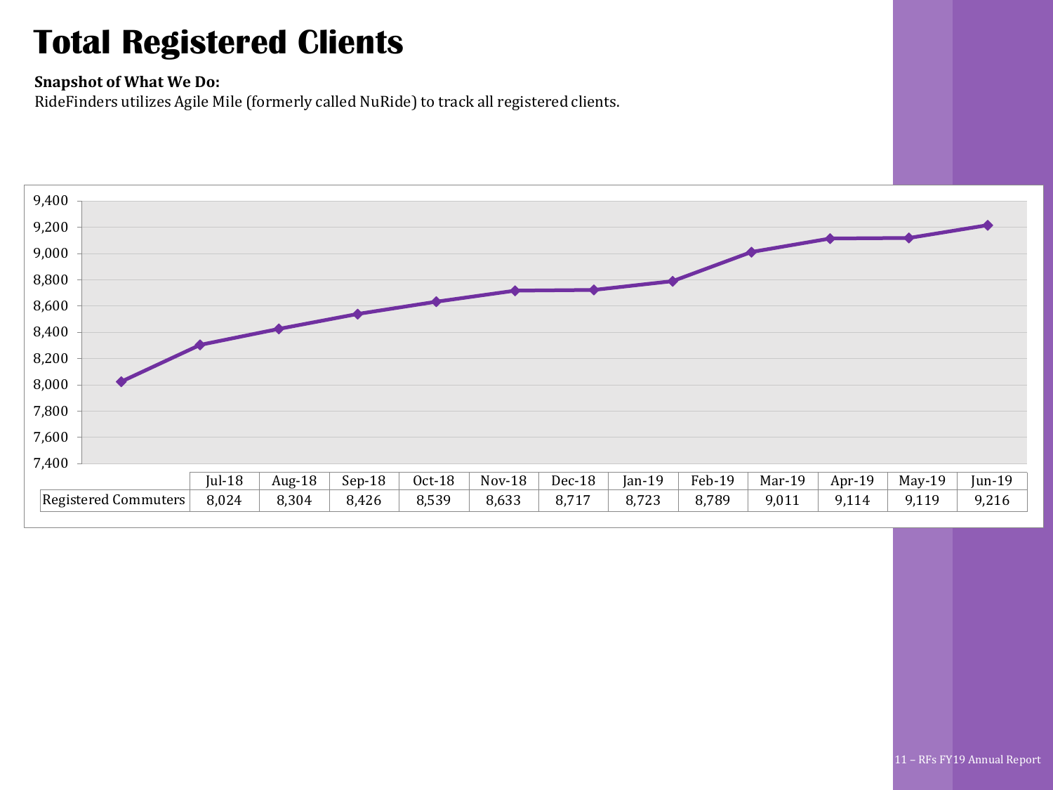## **Total Registered Clients**

#### **Snapshot of What We Do:**

RideFinders utilizes Agile Mile (formerly called NuRide) to track all registered clients.

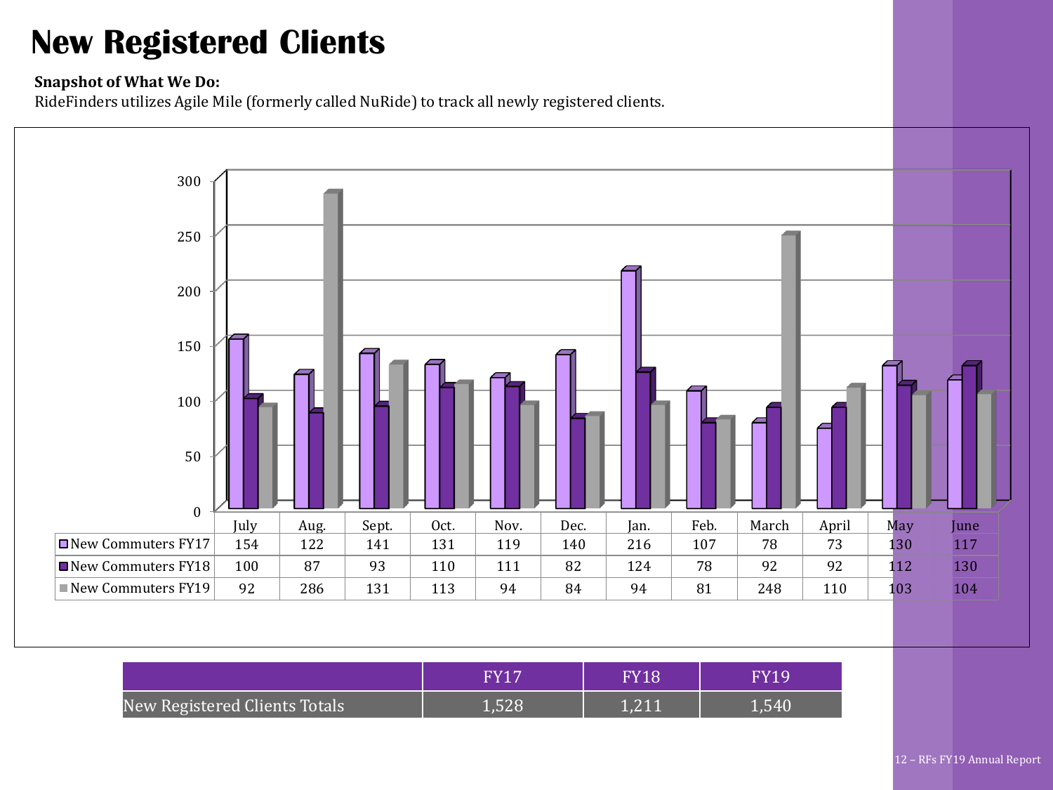## **New Registered Clients**

#### **Snapshot of What We Do:**

RideFinders utilizes Agile Mile (formerly called NuRide) to track all newly registered clients.

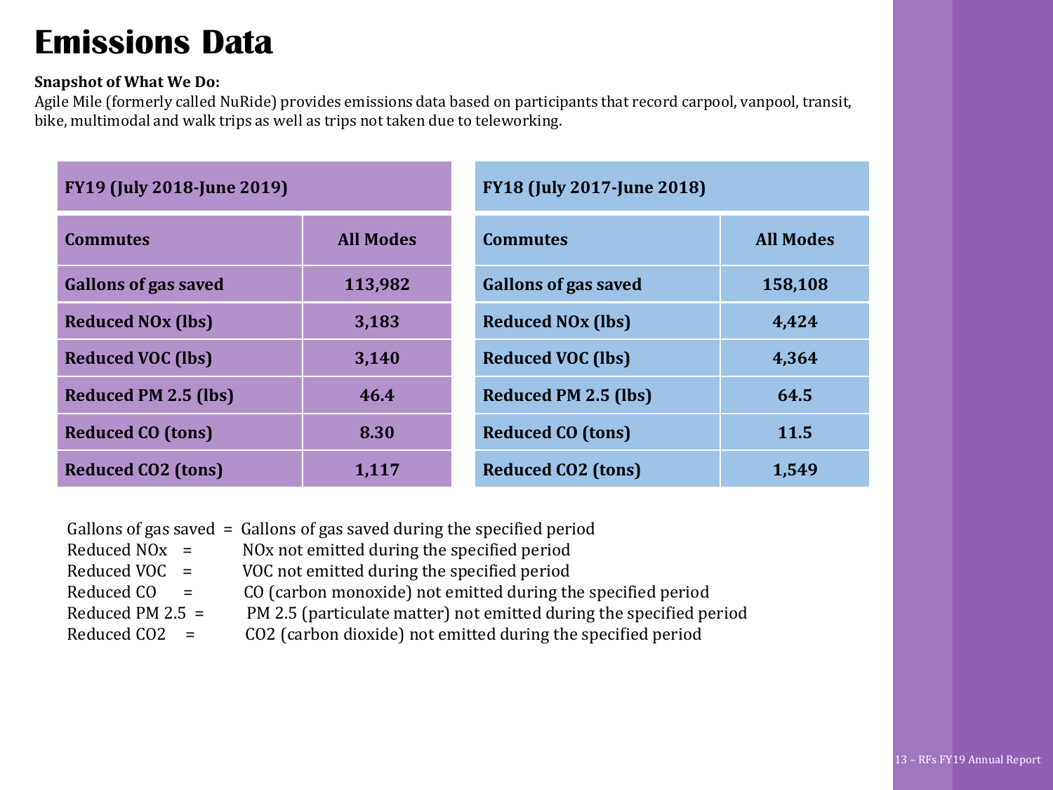### **Emissions Data**

#### **Snapshot of What We Do:**

Agile Mile (formerly called NuRide) provides emissions data based on participants that record carpool, vanpool, transit, bike, multimodal and walk trips as well as trips not taken due to teleworking.

| <b>FY19 (July 2018-June 2019)</b>   |                  | <b>FY18 (July 2017-June 2018)</b>   |                  |  |
|-------------------------------------|------------------|-------------------------------------|------------------|--|
| <b>Commutes</b>                     | <b>All Modes</b> | <b>Commutes</b>                     | <b>All Modes</b> |  |
| <b>Gallons of gas saved</b>         | 113,982          | <b>Gallons of gas saved</b>         | 158,108          |  |
| <b>Reduced NO<sub>x</sub></b> (lbs) | 3,183            | <b>Reduced NO<sub>x</sub></b> (lbs) | 4,424            |  |
| <b>Reduced VOC (lbs)</b>            | 3,140            | <b>Reduced VOC (lbs)</b>            | 4,364            |  |
| <b>Reduced PM 2.5 (lbs)</b>         | 46.4             | <b>Reduced PM 2.5 (lbs)</b>         | 64.5             |  |
| <b>Reduced CO (tons)</b>            | 8.30             | <b>Reduced CO (tons)</b>            | 11.5             |  |
| <b>Reduced CO2 (tons)</b>           | 1,117            | <b>Reduced CO2 (tons)</b>           | 1,549            |  |

Gallons of gas saved = Gallons of gas saved during the specified period

- Reduced  $NOx = NOx$  not emitted during the specified period
- Reduced VOC = VOC not emitted during the specified period
- Reduced CO = CO (carbon monoxide) not emitted during the specified period
- Reduced PM 2.5 = PM 2.5 (particulate matter) not emitted during the specified period
- Reduced  $CO2 = CO2$  (carbon dioxide) not emitted during the specified period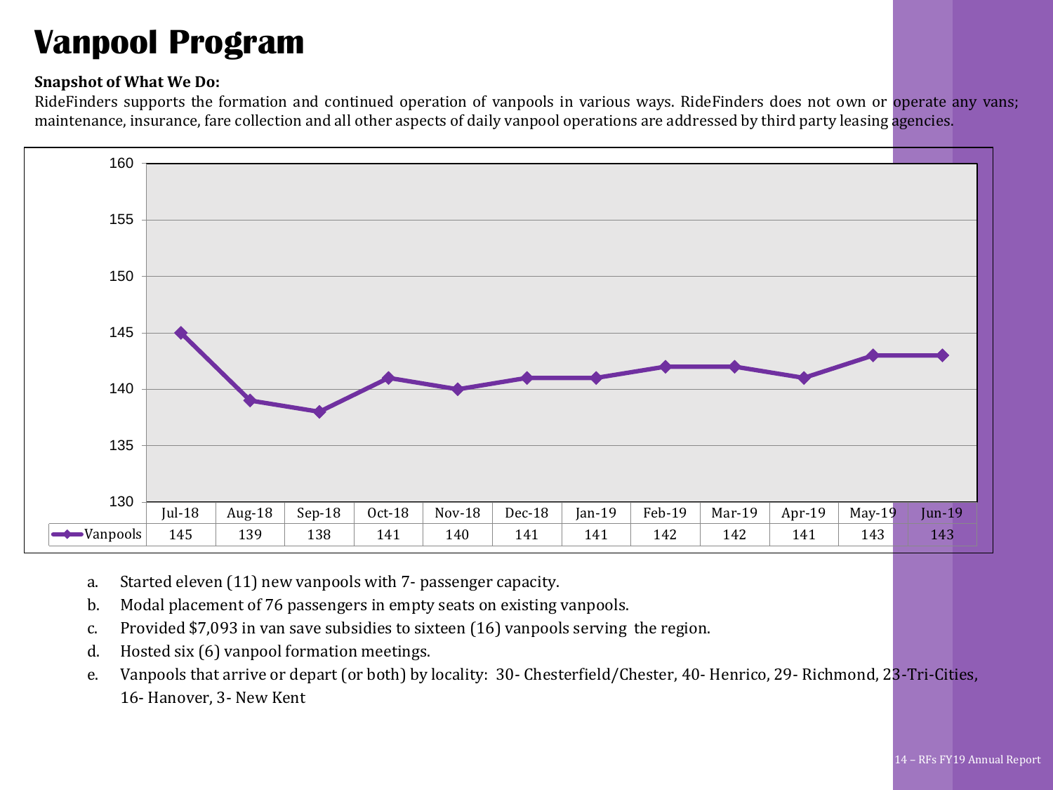## **Vanpool Program**

#### **Snapshot of What We Do:**

RideFinders supports the formation and continued operation of vanpools in various ways. RideFinders does not own or operate any vans; maintenance, insurance, fare collection and all other aspects of daily vanpool operations are addressed by third party leasing agencies.



- a. Started eleven (11) new vanpools with 7- passenger capacity.
- b. Modal placement of 76 passengers in empty seats on existing vanpools.
- c. Provided \$7,093 in van save subsidies to sixteen (16) vanpools serving the region.
- d. Hosted six (6) vanpool formation meetings.
- e. Vanpools that arrive or depart (or both) by locality: 30- Chesterfield/Chester, 40- Henrico, 29- Richmond, 23-Tri-Cities, 16- Hanover, 3- New Kent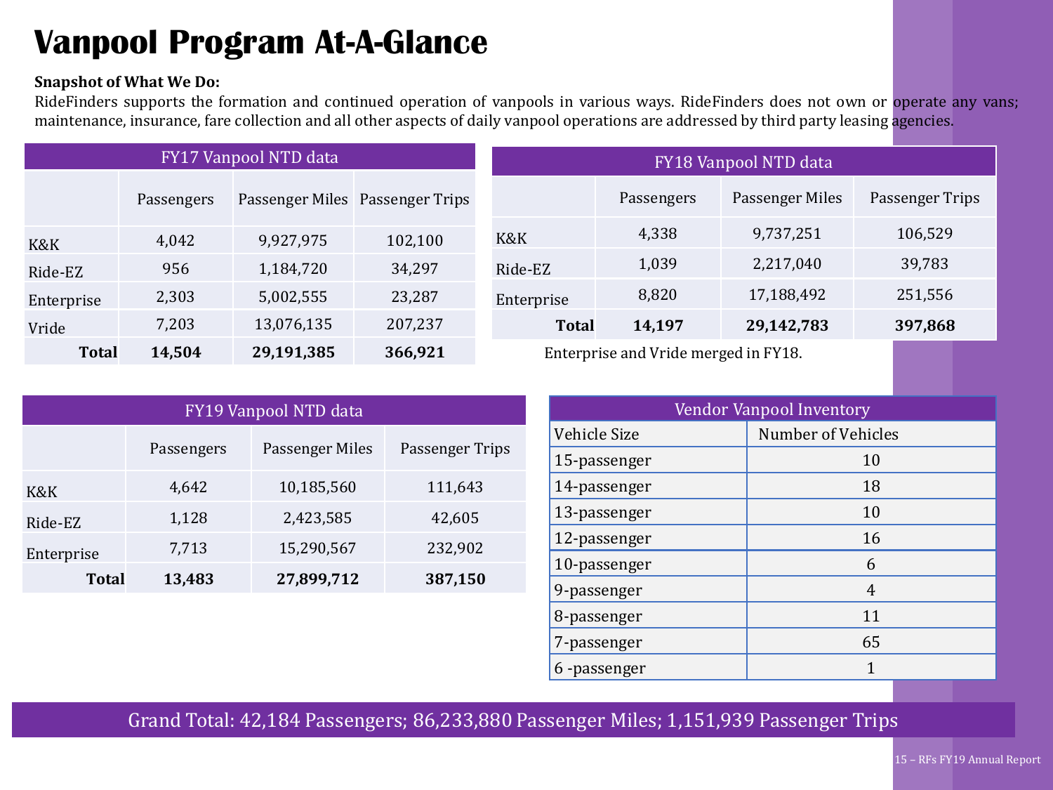## **Vanpool Program At-A-Glance**

#### **Snapshot of What We Do:**

RideFinders supports the formation and continued operation of vanpools in various ways. RideFinders does not own or operate any vans; maintenance, insurance, fare collection and all other aspects of daily vanpool operations are addressed by third party leasing agencies.

| FY17 Vanpool NTD data |            |            | FY18 Vanpool NTD data           |                                      |            |                 |                 |
|-----------------------|------------|------------|---------------------------------|--------------------------------------|------------|-----------------|-----------------|
|                       | Passengers |            | Passenger Miles Passenger Trips |                                      | Passengers | Passenger Miles | Passenger Trips |
| K&K                   | 4,042      | 9,927,975  | 102,100                         | K&K                                  | 4,338      | 9,737,251       | 106,529         |
| Ride-EZ               | 956        | 1,184,720  | 34,297                          | Ride-EZ                              | 1,039      | 2,217,040       | 39,783          |
| Enterprise            | 2,303      | 5,002,555  | 23,287                          | Enterprise                           | 8,820      | 17,188,492      | 251,556         |
| Vride                 | 7,203      | 13,076,135 | 207,237                         | <b>Total</b>                         | 14,197     | 29,142,783      | 397,868         |
| <b>Total</b>          | 14,504     | 29,191,385 | 366,921                         | Enterprise and Vride merged in FY18. |            |                 |                 |

| FY19 Vanpool NTD data |            |                 |                 |  |  |  |  |
|-----------------------|------------|-----------------|-----------------|--|--|--|--|
|                       | Passengers | Passenger Miles | Passenger Trips |  |  |  |  |
| K&K                   | 4,642      | 10,185,560      | 111,643         |  |  |  |  |
| Ride-EZ               | 1,128      | 2,423,585       | 42,605          |  |  |  |  |
| Enterprise            | 7,713      | 15,290,567      | 232,902         |  |  |  |  |
| Total                 | 13,483     | 27,899,712      | 387,150         |  |  |  |  |

| Vendor Vanpool Inventory |                    |  |  |  |  |
|--------------------------|--------------------|--|--|--|--|
| Vehicle Size             | Number of Vehicles |  |  |  |  |
| 15-passenger             | 10                 |  |  |  |  |
| 14-passenger             | 18                 |  |  |  |  |
| 13-passenger             | 10                 |  |  |  |  |
| 12-passenger             | 16                 |  |  |  |  |
| 10-passenger             | 6                  |  |  |  |  |
| 9-passenger              | 4                  |  |  |  |  |
| 8-passenger              | 11                 |  |  |  |  |
| 7-passenger              | 65                 |  |  |  |  |
| 6-passenger              | 1                  |  |  |  |  |

Grand Total: 42,184 Passengers; 86,233,880 Passenger Miles; 1,151,939 Passenger Trips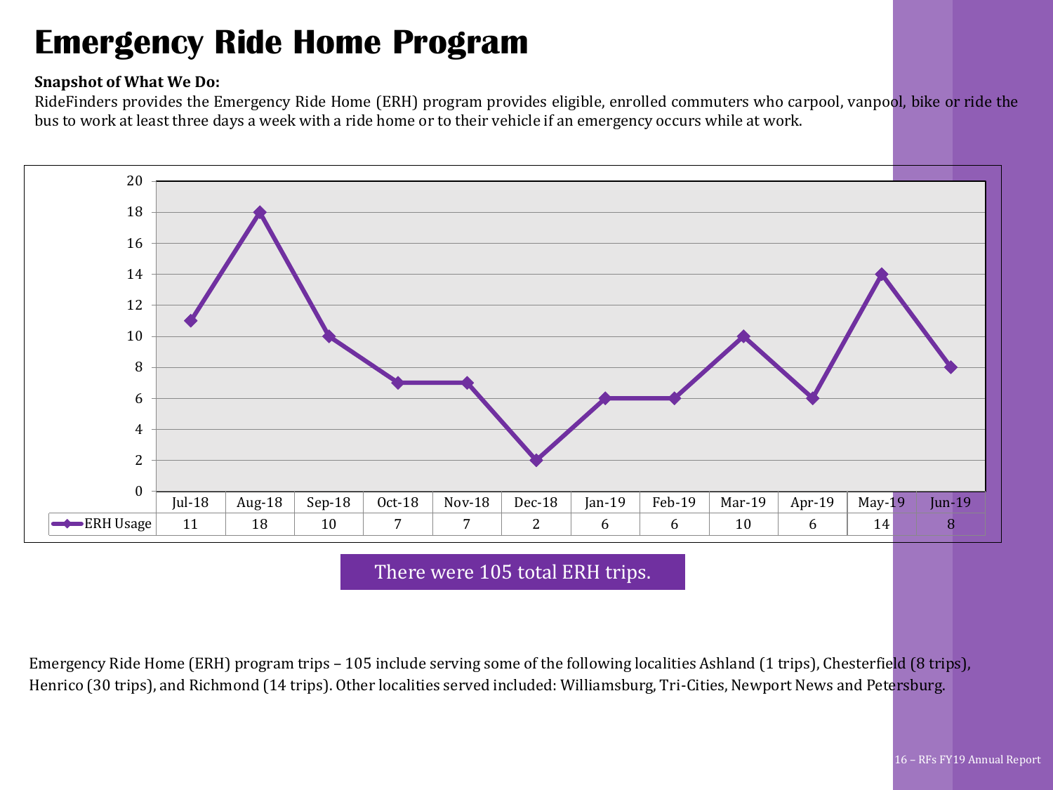### **Emergency Ride Home Program**

#### **Snapshot of What We Do:**

RideFinders provides the Emergency Ride Home (ERH) program provides eligible, enrolled commuters who carpool, vanpool, bike or ride the bus to work at least three days a week with a ride home or to their vehicle if an emergency occurs while at work.



There were 105 total ERH trips.

Emergency Ride Home (ERH) program trips – 105 include serving some of the following localities Ashland (1 trips), Chesterfield (8 trips), Henrico (30 trips), and Richmond (14 trips). Other localities served included: Williamsburg, Tri-Cities, Newport News and Petersburg.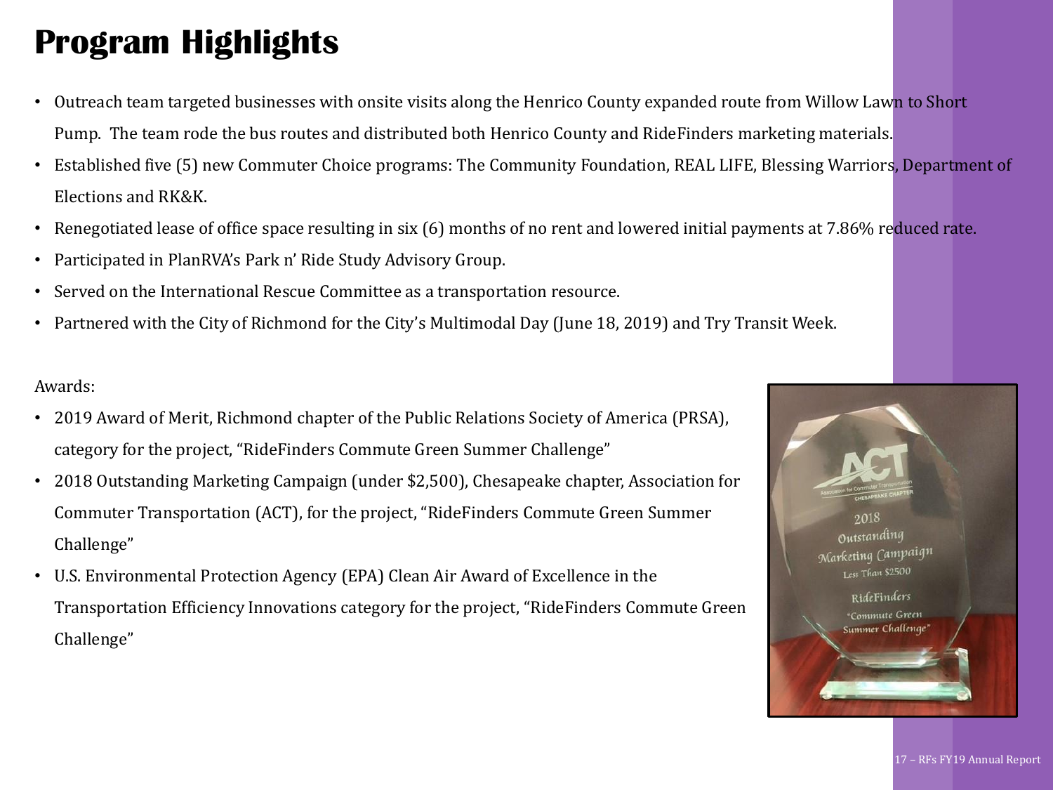## **Program Highlights**

- Outreach team targeted businesses with onsite visits along the Henrico County expanded route from Willow Lawn to Short Pump. The team rode the bus routes and distributed both Henrico County and RideFinders marketing materials.
- Established five (5) new Commuter Choice programs: The Community Foundation, REAL LIFE, Blessing Warriors, Department of Elections and RK&K.
- Renegotiated lease of office space resulting in six (6) months of no rent and lowered initial payments at 7.86% reduced rate.
- Participated in PlanRVA's Park n' Ride Study Advisory Group.
- Served on the International Rescue Committee as a transportation resource.
- Partnered with the City of Richmond for the City's Multimodal Day (June 18, 2019) and Try Transit Week.

#### Awards:

- 2019 Award of Merit, Richmond chapter of the Public Relations Society of America (PRSA), category for the project, "RideFinders Commute Green Summer Challenge"
- 2018 Outstanding Marketing Campaign (under \$2,500), Chesapeake chapter, Association for Commuter Transportation (ACT), for the project, "RideFinders Commute Green Summer Challenge"
- U.S. Environmental Protection Agency (EPA) Clean Air Award of Excellence in the Transportation Efficiency Innovations category for the project, "RideFinders Commute Green RideFinders Challenge"

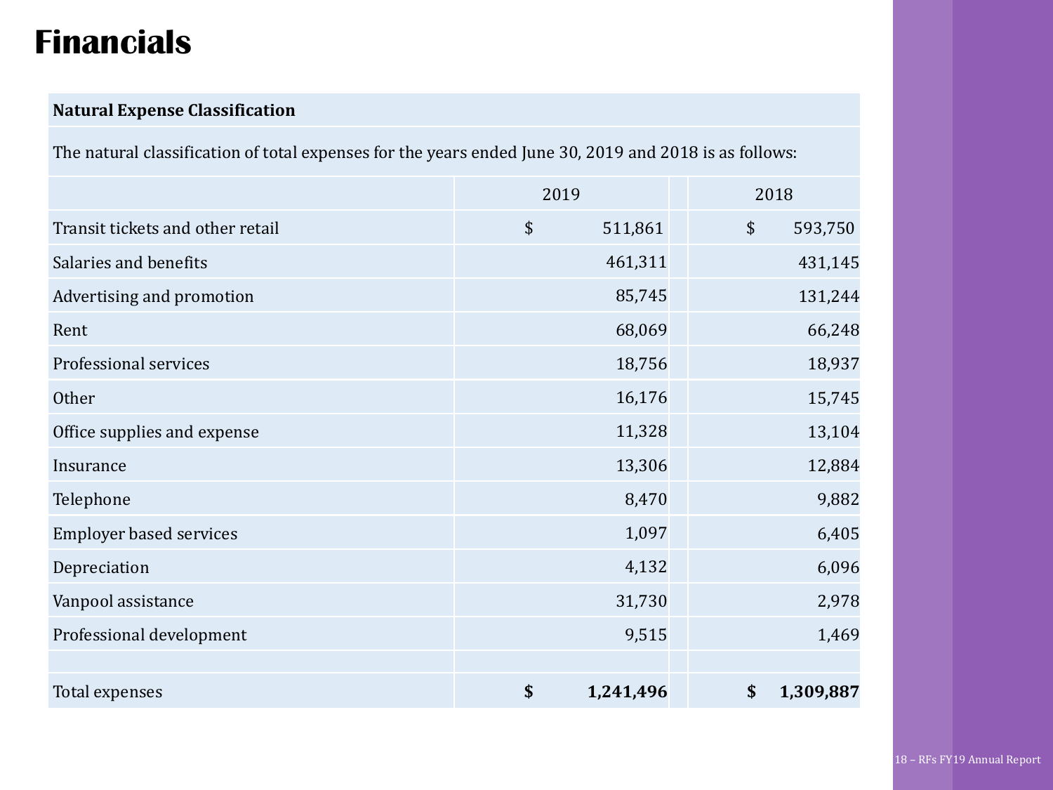## **Financials**

### **Natural Expense Classification**

The natural classification of total expenses for the years ended June 30, 2019 and 2018 is as follows:

|                                  | 2019            | 2018            |
|----------------------------------|-----------------|-----------------|
| Transit tickets and other retail | \$<br>511,861   | \$<br>593,750   |
| Salaries and benefits            | 461,311         | 431,145         |
| Advertising and promotion        | 85,745          | 131,244         |
| Rent                             | 68,069          | 66,248          |
| Professional services            | 18,756          | 18,937          |
| Other                            | 16,176          | 15,745          |
| Office supplies and expense      | 11,328          | 13,104          |
| Insurance                        | 13,306          | 12,884          |
| Telephone                        | 8,470           | 9,882           |
| <b>Employer based services</b>   | 1,097           | 6,405           |
| Depreciation                     | 4,132           | 6,096           |
| Vanpool assistance               | 31,730          | 2,978           |
| Professional development         | 9,515           | 1,469           |
|                                  |                 |                 |
| Total expenses                   | \$<br>1,241,496 | \$<br>1,309,887 |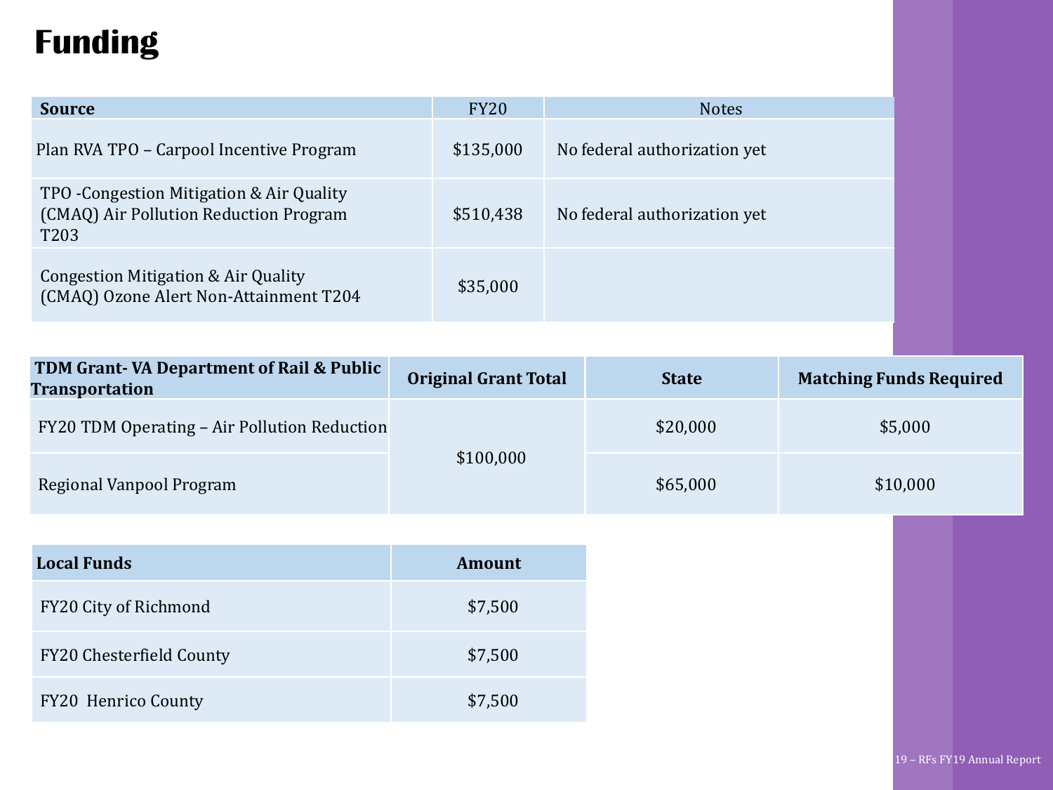## **Funding**

| <b>Source</b>                                                                               | <b>FY20</b> | <b>Notes</b>                 |
|---------------------------------------------------------------------------------------------|-------------|------------------------------|
| Plan RVA TPO – Carpool Incentive Program                                                    | \$135,000   | No federal authorization yet |
| TPO - Congestion Mitigation & Air Quality<br>(CMAQ) Air Pollution Reduction Program<br>T203 | \$510,438   | No federal authorization yet |
| Congestion Mitigation & Air Quality<br>(CMAQ) Ozone Alert Non-Attainment T204               | \$35,000    |                              |

| <b>TDM Grant-VA Department of Rail &amp; Public</b><br>Transportation | <b>Original Grant Total</b> | <b>State</b> | <b>Matching Funds Required</b> |
|-----------------------------------------------------------------------|-----------------------------|--------------|--------------------------------|
| FY20 TDM Operating - Air Pollution Reduction                          |                             | \$20,000     | \$5,000                        |
| Regional Vanpool Program                                              | \$100,000                   | \$65,000     | \$10,000                       |

| <b>Local Funds</b>              | Amount  |
|---------------------------------|---------|
| FY20 City of Richmond           | \$7,500 |
| <b>FY20 Chesterfield County</b> | \$7,500 |
| <b>FY20 Henrico County</b>      | \$7,500 |